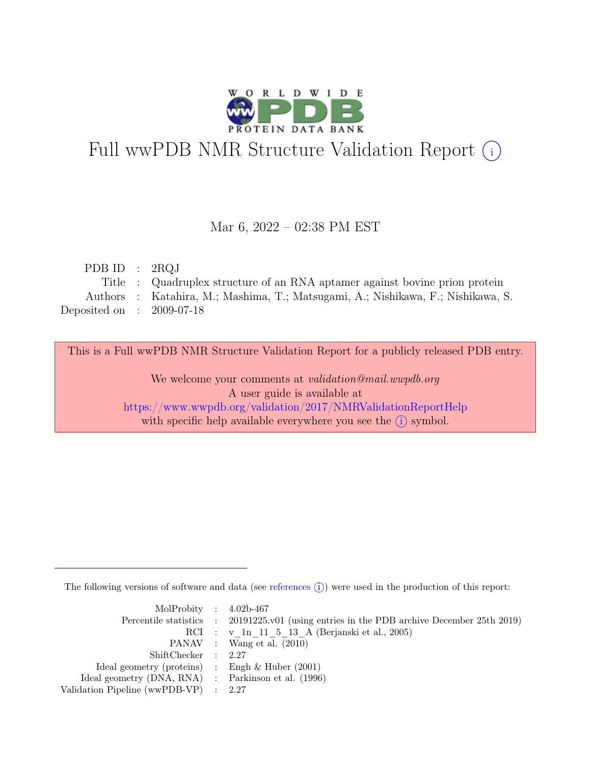

# Full wwPDB NMR Structure Validation Report (i)

### Mar 6, 2022 – 02:38 PM EST

| PDB ID : $2RQJ$             |                                                                                 |
|-----------------------------|---------------------------------------------------------------------------------|
|                             | Title : Quadruplex structure of an RNA aptamer against bovine prion protein     |
|                             | Authors: Katahira, M.; Mashima, T.; Matsugami, A.; Nishikawa, F.; Nishikawa, S. |
| Deposited on : $2009-07-18$ |                                                                                 |

This is a Full wwPDB NMR Structure Validation Report for a publicly released PDB entry.

We welcome your comments at *validation@mail.wwpdb.org* A user guide is available at <https://www.wwpdb.org/validation/2017/NMRValidationReportHelp> with specific help available everywhere you see the  $(i)$  symbol.

The following versions of software and data (see [references](https://www.wwpdb.org/validation/2017/NMRValidationReportHelp#references)  $\hat{I}$ ) were used in the production of this report:

| MolProbity : $4.02b-467$                            |                                                                                            |
|-----------------------------------------------------|--------------------------------------------------------------------------------------------|
|                                                     | Percentile statistics : 20191225.v01 (using entries in the PDB archive December 25th 2019) |
|                                                     | RCI : v 1n 11 5 13 A (Berjanski et al., 2005)                                              |
|                                                     | PANAV : Wang et al. (2010)                                                                 |
| ShiftChecker : 2.27                                 |                                                                                            |
| Ideal geometry (proteins) : Engh $\&$ Huber (2001)  |                                                                                            |
| Ideal geometry (DNA, RNA) : Parkinson et al. (1996) |                                                                                            |
| Validation Pipeline (wwPDB-VP) : $2.27$             |                                                                                            |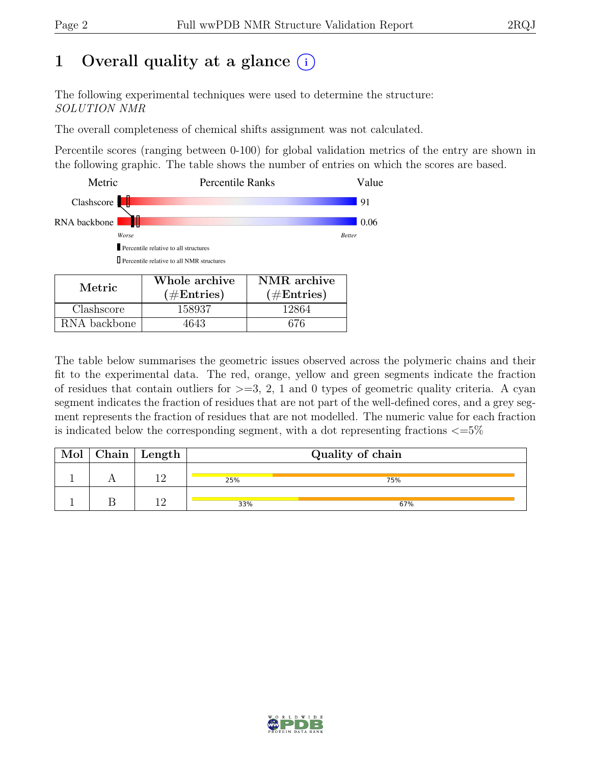## 1 Overall quality at a glance  $(i)$

The following experimental techniques were used to determine the structure: SOLUTION NMR

The overall completeness of chemical shifts assignment was not calculated.

Percentile scores (ranging between 0-100) for global validation metrics of the entry are shown in the following graphic. The table shows the number of entries on which the scores are based.

| Metric       | <b>Percentile Ranks</b>                            |                      | Value         |
|--------------|----------------------------------------------------|----------------------|---------------|
| Clashscore   |                                                    |                      | 91            |
| RNA backbone |                                                    |                      | 0.06          |
| Worse        |                                                    |                      | <b>Better</b> |
|              | Percentile relative to all structures              |                      |               |
|              | <b>I</b> Percentile relative to all NMR structures |                      |               |
| Metric       | Whole archive                                      | NMR archive          |               |
|              | $(\#\text{Entries})$                               | $(\#\text{Entries})$ |               |
| lashscore    | 158937                                             |                      |               |

RNA backbone | 4643 | 676

The table below summarises the geometric issues observed across the polymeric chains and their fit to the experimental data. The red, orange, yellow and green segments indicate the fraction of residues that contain outliers for  $\geq$ =3, 2, 1 and 0 types of geometric quality criteria. A cyan segment indicates the fraction of residues that are not part of the well-defined cores, and a grey segment represents the fraction of residues that are not modelled. The numeric value for each fraction is indicated below the corresponding segment, with a dot representing fractions  $\epsilon = 5\%$ 

| Mol | $ $ Chain $ $ Length $ $ | Quality of chain |     |  |
|-----|--------------------------|------------------|-----|--|
|     |                          | 25%              | 75% |  |
|     |                          | 33%              | 67% |  |

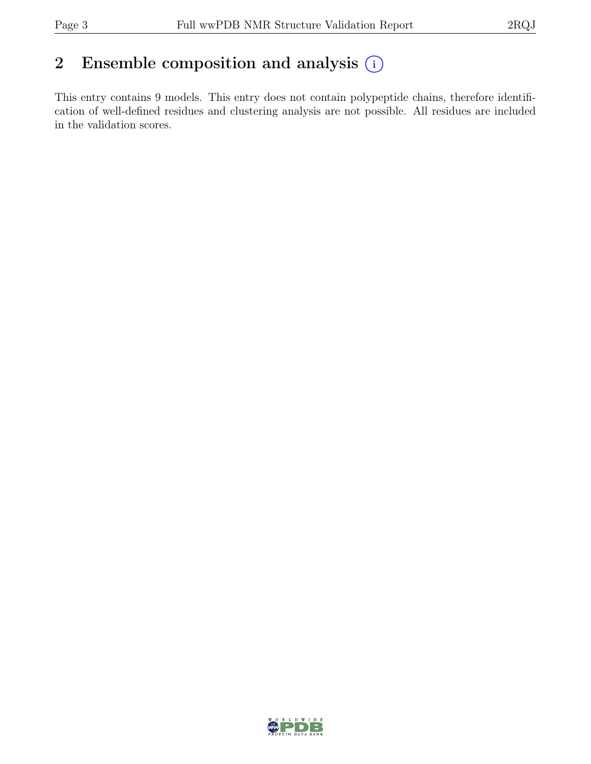## 2 Ensemble composition and analysis  $(i)$

This entry contains 9 models. This entry does not contain polypeptide chains, therefore identification of well-defined residues and clustering analysis are not possible. All residues are included in the validation scores.

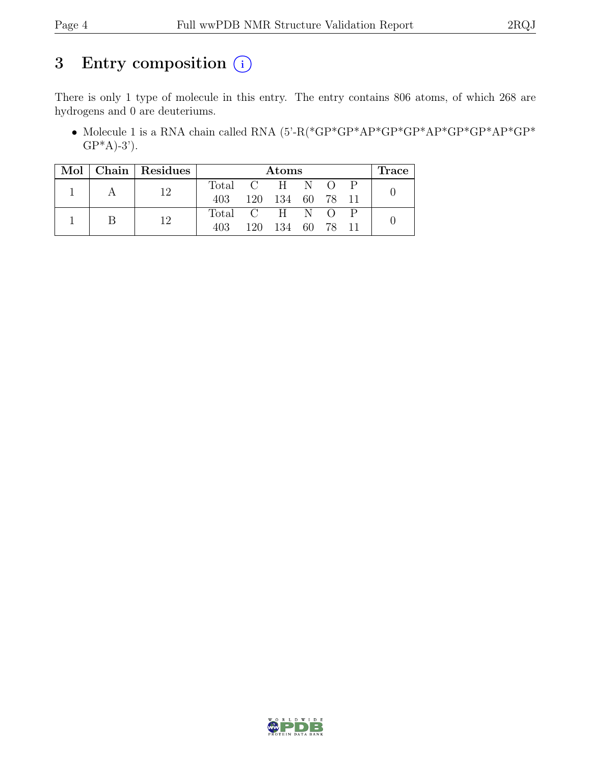## 3 Entry composition  $(i)$

There is only 1 type of molecule in this entry. The entry contains 806 atoms, of which 268 are hydrogens and 0 are deuteriums.

• Molecule 1 is a RNA chain called RNA  $(5'-R(*\text{GP*}\text{GP*}\text{AP*}\text{GP*}\text{AP*}\text{GP*}\text{AP*}\text{GP*}\text{AP*}\text{GP*}\text{AP*}\text{GP*}\text{AP*}\text{GP*}$  $GP*A$ -3').

| Mol∣ |  | Chain   Residues |             |            | Atoms |      |                  | <b>Trace</b> |
|------|--|------------------|-------------|------------|-------|------|------------------|--------------|
|      |  | 19               | Total C H N |            |       |      | $\left( \right)$ |              |
|      |  | 403              |             | 120 134 60 |       | 78   |                  |              |
|      |  |                  | Total C H N |            |       |      | $\left( \right)$ |              |
|      |  |                  | 403         | 120.       | 134   | 60 - | 78               |              |

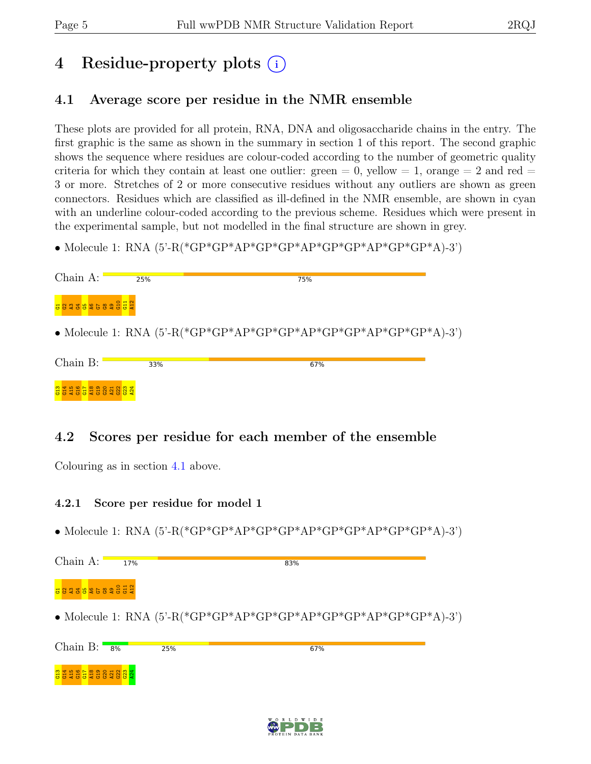## 4 Residue-property plots (i)

### <span id="page-4-0"></span>4.1 Average score per residue in the NMR ensemble

These plots are provided for all protein, RNA, DNA and oligosaccharide chains in the entry. The first graphic is the same as shown in the summary in section 1 of this report. The second graphic shows the sequence where residues are colour-coded according to the number of geometric quality criteria for which they contain at least one outlier: green  $= 0$ , yellow  $= 1$ , orange  $= 2$  and red  $=$ 3 or more. Stretches of 2 or more consecutive residues without any outliers are shown as green connectors. Residues which are classified as ill-defined in the NMR ensemble, are shown in cyan with an underline colour-coded according to the previous scheme. Residues which were present in the experimental sample, but not modelled in the final structure are shown in grey.

• Molecule 1: RNA (5'-R(\*GP\*GP\*AP\*GP\*GP\*AP\*GP\*GP\*AP\*GP\*GP\*A)-3')

| $Chain A$ :         | 25% | 75%                                                                        |
|---------------------|-----|----------------------------------------------------------------------------|
| E B 2 3 8 9 2 5 8 2 |     |                                                                            |
|                     |     | • Molecule 1: RNA $(5^{\circ}$ -R(*GP*GP*AP*GP*GP*AP*GP*AP*GP*AP*GP*A)-3') |
| Chain B:            | 33% | 67%                                                                        |
|                     |     |                                                                            |

### 4.2 Scores per residue for each member of the ensemble

Colouring as in section [4.1](#page-4-0) above.

### 4.2.1 Score per residue for model 1

• Molecule 1: RNA (5'-R(\*GP\*GP\*AP\*GP\*GP\*AP\*GP\*GP\*AP\*GP\*GP\*A)-3')

| Chain A:       | 17% |                                                                         | 83% |  |
|----------------|-----|-------------------------------------------------------------------------|-----|--|
|                |     |                                                                         |     |  |
|                |     | • Molecule 1: RNA $(5^{\circ}$ -R(*GP*GP*AP*GP*AP*GP*GP*AP*GP*GP*A)-3') |     |  |
| Chain B: $8\%$ |     | 25%                                                                     | 67% |  |
|                |     |                                                                         |     |  |

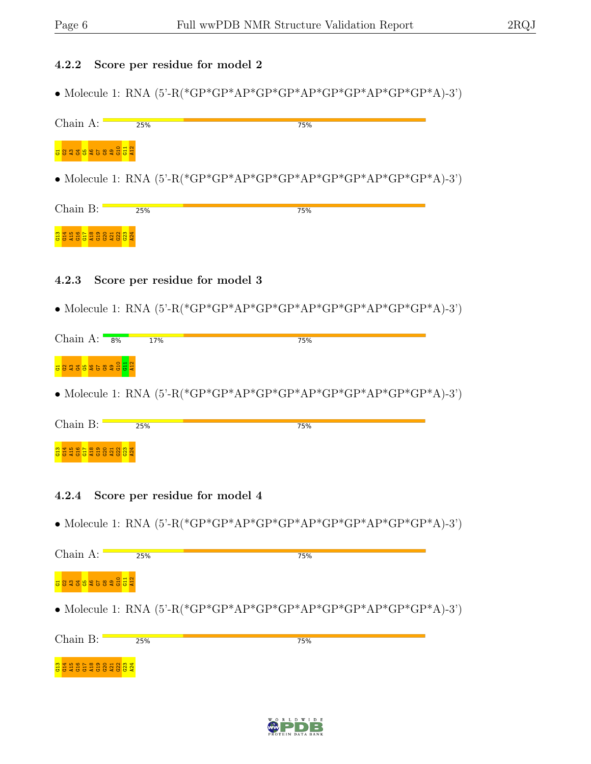### 4.2.2 Score per residue for model 2

 $\bullet$  Molecule 1: RNA (5'-R(\*GP\*GP\*AP\*GP\*GP\*AP\*GP\*AP\*GP\*A)-3')

| Chain $A:$           | 25% | 75%                                                                        |  |
|----------------------|-----|----------------------------------------------------------------------------|--|
| Boare a construction |     |                                                                            |  |
|                      |     | • Molecule 1: RNA $(5^{\circ}$ -R(*GP*GP*AP*GP*AP*GP*GP*AP*GP*AP*GP*A)-3') |  |

| Chain B: |                        | 25% | 75% |
|----------|------------------------|-----|-----|
|          |                        |     |     |
|          | <b>BETHETHERSENSEN</b> |     |     |

### 4.2.3 Score per residue for model 3

• Molecule 1: RNA (5'-R(\*GP\*GP\*AP\*GP\*GP\*AP\*GP\*GP\*AP\*GP\*GP\*A)-3')

| Chain A: $8\%$        | 17% | 75% |  |
|-----------------------|-----|-----|--|
| <b>Baaasacaaa Baa</b> |     |     |  |

• Molecule 1: RNA (5'-R(\*GP\*GP\*AP\*GP\*GP\*AP\*GP\*GP\*AP\*GP\*GP\*A)-3')

| Chain B: |                      | 25% | 75% |
|----------|----------------------|-----|-----|
|          | <b>BERGERSSENSEN</b> |     |     |

### 4.2.4 Score per residue for model 4

• Molecule 1: RNA  $(5^{\circ}$ -R(\*GP\*GP\*AP\*GP\*GP\*AP\*GP\*AP\*GP\*AP\*GP\*A)-3')

| $Chain A$ :   | 25% | 75%                                                                     |
|---------------|-----|-------------------------------------------------------------------------|
| 8823826828552 |     |                                                                         |
|               |     | • Molecule 1: RNA $(5^{\circ}$ -R(*GP*GP*AP*GP*AP*GP*AP*GP*AP*GP*A)-3') |
| Chain $B:$    | 25% | 75%                                                                     |
|               |     |                                                                         |

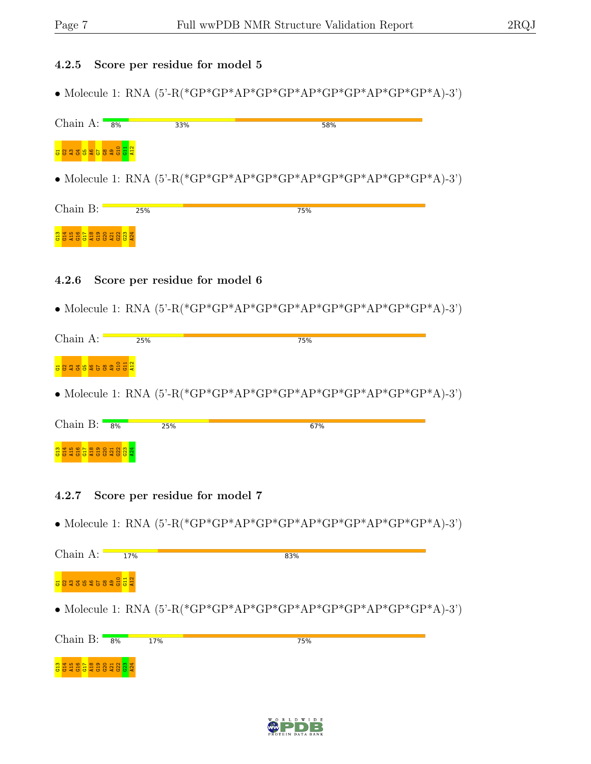### 4.2.5 Score per residue for model 5

• Molecule 1: RNA (5'-R(\*GP\*GP\*AP\*GP\*GP\*AP\*GP\*GP\*AP\*GP\*GP\*A)-3')

| Chain A: $\frac{8}{\sqrt{2}}$ | 33% | 58%                                                                     |
|-------------------------------|-----|-------------------------------------------------------------------------|
| a a a a a a a a a a a a a     |     |                                                                         |
|                               |     | • Molecule 1: RNA $(5^{\circ}$ -R(*GP*GP*AP*GP*AP*GP*AP*GP*AP*GP*A)-3') |

| Chain B: |                    | 25% | 75% |  |
|----------|--------------------|-----|-----|--|
|          | <b>BEASERSSERS</b> |     |     |  |

### 4.2.6 Score per residue for model 6

• Molecule 1: RNA (5'-R(\*GP\*GP\*AP\*GP\*GP\*AP\*GP\*GP\*AP\*GP\*GP\*A)-3')

| Chain A:                                           | 25% | 75% |  |
|----------------------------------------------------|-----|-----|--|
| <mark>a</mark> 8 ga <mark>sa ga</mark> sa sa sa sa |     |     |  |

• Molecule 1: RNA (5'-R(\*GP\*GP\*AP\*GP\*GP\*AP\*GP\*GP\*AP\*GP\*GP\*A)-3')

| Chain B:<br>8%       | 25% | 67% |
|----------------------|-----|-----|
| <b>BERGERS SENSE</b> |     |     |

### 4.2.7 Score per residue for model 7

• Molecule 1: RNA  $(5^{\circ}$ -R(\*GP\*GP\*AP\*GP\*GP\*AP\*GP\*AP\*GP\*AP\*GP\*A)-3')

| Chain A:             | 17% | 83%                                                                     |  |
|----------------------|-----|-------------------------------------------------------------------------|--|
| <b>B823825828552</b> |     |                                                                         |  |
|                      |     | • Molecule 1: RNA $(5^{\circ}$ -R(*GP*GP*AP*GP*AP*GP*AP*GP*AP*GP*A)-3') |  |
| Chain B: $8\%$       |     | 17%<br>75%                                                              |  |
|                      |     |                                                                         |  |

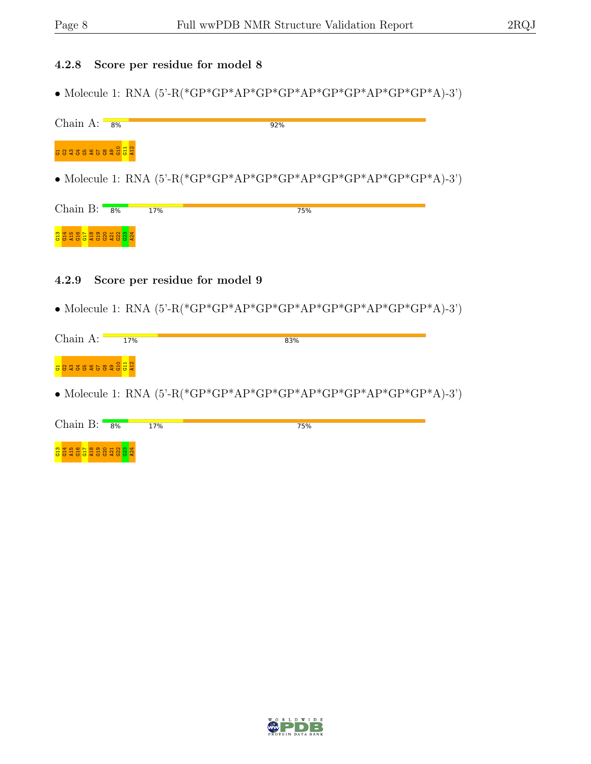### 4.2.8 Score per residue for model 8

• Molecule 1: RNA (5'-R(\*GP\*GP\*AP\*GP\*GP\*AP\*GP\*GP\*AP\*GP\*GP\*A)-3')

| Chain $A:$                        | 8% |     | 92%                                                                     |     |  |
|-----------------------------------|----|-----|-------------------------------------------------------------------------|-----|--|
| <b>BEBRO BROWN</b>                |    |     |                                                                         |     |  |
|                                   |    |     | • Molecule 1: RNA $(5^{\circ}$ -R(*GP*GP*AP*GP*AP*GP*AP*GP*AP*GP*A)-3') |     |  |
| Chain B: $\overline{\phantom{a}}$ | 8% | 17% |                                                                         | 75% |  |
|                                   |    |     |                                                                         |     |  |

### 4.2.9 Score per residue for model 9

 $\bullet$  Molecule 1: RNA (5'-R(\*GP\*GP\*AP\*GP\*GP\*AP\*GP\*AP\*GP\*A)-3')

| Chain A:                 | 17% | 83% |
|--------------------------|-----|-----|
| a a a a a a ca a a a a a |     |     |
|                          |     |     |

• Molecule 1: RNA (5'-R(\*GP\*GP\*AP\*GP\*GP\*AP\*GP\*GP\*AP\*GP\*GP\*A)-3')

| Chain B:              | $8\%$ | 17% | 75% |
|-----------------------|-------|-----|-----|
| <b>BERGERS SERVER</b> |       |     |     |

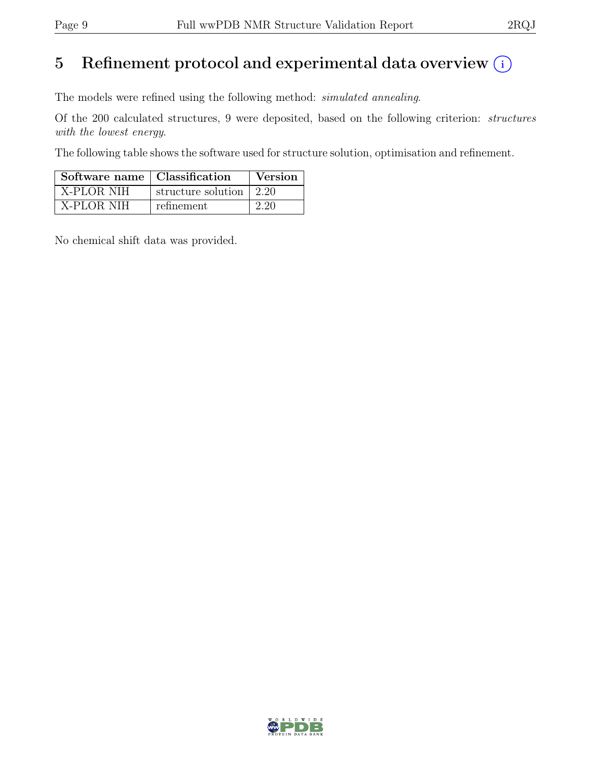## 5 Refinement protocol and experimental data overview  $(i)$

The models were refined using the following method: simulated annealing.

Of the 200 calculated structures, 9 were deposited, based on the following criterion: structures with the lowest energy.

The following table shows the software used for structure solution, optimisation and refinement.

| Software name   Classification |                         | Version |
|--------------------------------|-------------------------|---------|
| X-PLOR NIH                     | structure solution 2.20 |         |
| X-PLOR NIH                     | refinement              | 2.20    |

No chemical shift data was provided.

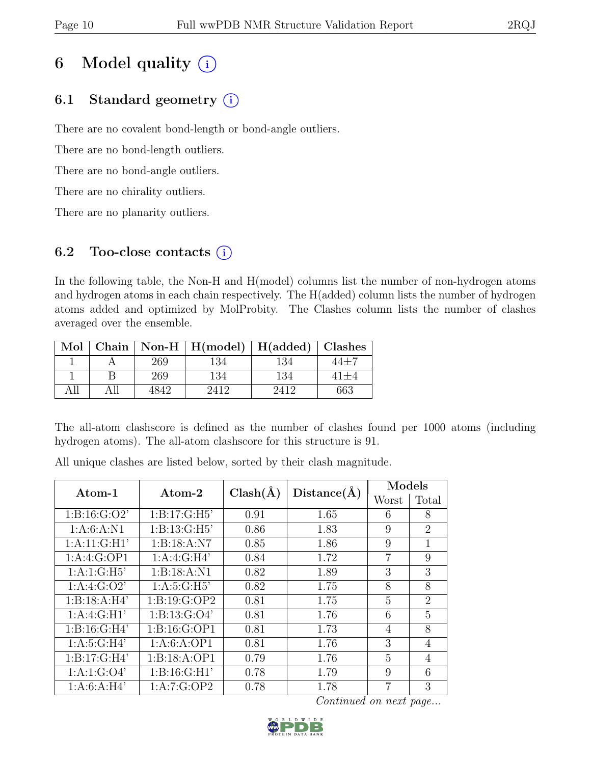## 6 Model quality  $(i)$

### 6.1 Standard geometry  $(i)$

There are no covalent bond-length or bond-angle outliers.

There are no bond-length outliers.

There are no bond-angle outliers.

There are no chirality outliers.

There are no planarity outliers.

### 6.2 Too-close contacts  $(i)$

In the following table, the Non-H and H(model) columns list the number of non-hydrogen atoms and hydrogen atoms in each chain respectively. The H(added) column lists the number of hydrogen atoms added and optimized by MolProbity. The Clashes column lists the number of clashes averaged over the ensemble.

| Mol |      | Chain   Non-H   $H(model)$   $H(added)$   Clashes |     |     |
|-----|------|---------------------------------------------------|-----|-----|
|     | 269  | 134                                               | 134 |     |
|     | 269  | 134                                               | 134 |     |
|     | 4842 | $\lambda$ 19                                      |     | 663 |

The all-atom clashscore is defined as the number of clashes found per 1000 atoms (including hydrogen atoms). The all-atom clashscore for this structure is 91.

All unique clashes are listed below, sorted by their clash magnitude.

| Atom-1           | $\rm{Atom}\text{-}2$      | $Clash(\AA)$ | Distance(A) | Models         |                             |
|------------------|---------------------------|--------------|-------------|----------------|-----------------------------|
|                  |                           |              |             | Worst          | Total                       |
| 1: B: 16: G: O2' | $1:B:17:\overline{G:H5'}$ | 0.91         | 1.65        | 6              | 8                           |
| 1: A:6: A: N1    | 1: B: 13: G: H5'          | 0.86         | 1.83        | 9              | $\mathcal{D}_{\mathcal{L}}$ |
| 1: A:11: G:H1'   | 1:B:18:A:N7               | 0.85         | 1.86        | 9              | 1                           |
| 1:A:4:G:OP1      | 1: A:4: G:H4'             | 0.84         | 1.72        | $\overline{7}$ | 9                           |
| 1: A: 1: G: H5'  | 1:B:18:A:N1               | 0.82         | 1.89        | 3              | 3                           |
| 1: A:4: G:O2'    | 1: A:5: G:H5'             | 0.82         | 1.75        | 8              | 8                           |
| 1:B:18:A:H4'     | 1:B:19:G:OP2              | 0.81         | 1.75        | 5              | $\overline{2}$              |
| 1: A:4: G:H1'    | 1: B: 13: G: O4'          | 0.81         | 1.76        | 6              | $\overline{5}$              |
| 1:B:16:G:H4'     | 1: B: 16: G: OP1          | 0.81         | 1.73        | $\overline{4}$ | 8                           |
| 1: A:5: G:H4'    | 1:A:6:A:OP1               | 0.81         | 1.76        | 3              | $\overline{4}$              |
| 1: B: 17: G: H4' | 1: B: 18: A: OP1          | 0.79         | 1.76        | 5              | $\overline{4}$              |
| 1: A: 1: G: O4'  | 1: B: 16: G: H1'          | 0.78         | 1.79        | 9              | 6                           |
| 1: A:6: A:H4'    | 1:A:7:G:OP2               | 0.78         | 1.78        | 7              | 3                           |

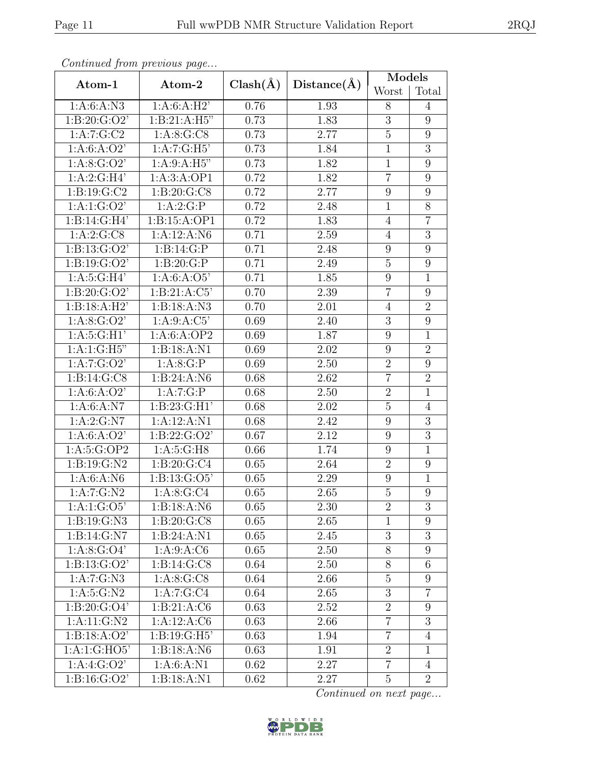|                         | Continual from previous page |                   |             | Models           |                  |
|-------------------------|------------------------------|-------------------|-------------|------------------|------------------|
| Atom-1                  | Atom-2                       | $Clash(\AA)$      | Distance(A) | Worst            | Total            |
| 1: A:6: A: N3           | 1:A:6:A:H2'                  | 0.76              | 1.93        | 8                | 4                |
| 1: B:20: G:O2'          | 1:B:21:A:H5"                 | 0.73              | 1.83        | 3                | $9\phantom{.0}$  |
| 1:A:7:G:C2              | 1: A:8: G: C8                | 0.73              | 2.77        | $\overline{5}$   | $\boldsymbol{9}$ |
| 1: A:6: A:O2'           | 1:A:7:G:H5                   | 0.73              | 1.84        | $\mathbf{1}$     | $\overline{3}$   |
| 1: A:8: G:O2'           | 1: A:9: A: H5"               | 0.73              | 1.82        | $\mathbf{1}$     | 9                |
| 1: A:2: G:H4'           | 1:A:3:A:OP1                  | 0.72              | 1.82        | $\overline{7}$   | 9                |
| 1: B: 19: G: C2         | 1: B:20: G:CS                | 0.72              | 2.77        | $\boldsymbol{9}$ | 9                |
| 1:A:1:G:O2'             | 1:A:2:G:P                    | 0.72              | 2.48        | $\mathbf{1}$     | 8                |
| 1:B:14:G:H4'            | 1:B:15:A:OP1                 | 0.72              | 1.83        | $\overline{4}$   | $\overline{7}$   |
| 1:A:2:G:CS              | 1:A:12:A:N6                  | 0.71              | 2.59        | $\overline{4}$   | 3                |
| 1: B: 13: G: O2'        | 1:B:14:G:P                   | 0.71              | 2.48        | $\overline{9}$   | $\boldsymbol{9}$ |
| 1: B: 19: G: O2'        | 1: B:20: G:P                 | 0.71              | 2.49        | $\overline{5}$   | 9                |
| 1: A:5: G:H4'           | 1: A:6: A:O5'                | 0.71              | 1.85        | 9                | $\mathbf{1}$     |
| 1: B:20: G:O2'          | 1: B:21:A:C5'                | 0.70              | 2.39        | $\overline{7}$   | 9                |
| 1:B:18:A:H2'            | 1:B:18:A:N3                  | 0.70              | 2.01        | $\overline{4}$   | $\overline{2}$   |
| 1: A:8: G:O2'           | 1: A:9: A: C5'               | 0.69              | 2.40        | $\overline{3}$   | $\boldsymbol{9}$ |
| 1: A:5: G:H1'           | 1:A:6:A:OP2                  | 0.69              | 1.87        | 9                | $\mathbf{1}$     |
| 1:A:1:G:H5"             | 1: B: 18: A: N1              | 0.69              | 2.02        | $\overline{9}$   | $\overline{2}$   |
| 1:A:7:G:O2'             | 1:A:8:G:P                    | 0.69              | 2.50        | $\overline{2}$   | $\overline{9}$   |
| 1: B: 14: G: C8         | 1: B: 24: A: N6              | 0.68              | 2.62        | $\overline{7}$   | $\overline{2}$   |
| 1: A:6: A:O2'           | 1:A:7:G:P                    | 0.68              | 2.50        | $\overline{2}$   | $\mathbf{1}$     |
| 1: A:6: A: N7           | 1: B: 23: G: H1'             | 0.68              | 2.02        | $\overline{5}$   | $\overline{4}$   |
| 1: A:2: G: N7           | 1:A:12:A:N1                  | 0.68              | 2.42        | 9                | 3                |
| 1: A:6: A:O2'           | 1: B: 22: G: O2'             | 0.67              | 2.12        | $\boldsymbol{9}$ | 3                |
| 1:A:5:G:OP2             | 1:A:5:G:H8                   | 0.66              | 1.74        | 9                | $\mathbf 1$      |
| 1:B:19:G:N2             | 1:B:20:G:C4                  | 0.65              | 2.64        | $\overline{2}$   | 9                |
| 1: A:6: A: N6           | 1: B: 13: G: O5'             | 0.65              | 2.29        | 9                | $\mathbf{1}$     |
| 1: A:7:G:N2             | 1: A:8:G:C4                  | $\overline{0.65}$ | 2.65        | $\overline{5}$   | $\overline{9}$   |
| 1:A:1:G:O5'             | 1: B: 18: A: N6              | 0.65              | 2.30        | $\overline{2}$   | 3                |
| 1:B:19:G:N3             | 1: B:20: G:CS                | 0.65              | 2.65        | $\mathbf{1}$     | 9                |
| 1: B: 14: G: N7         | 1:B:24:A:N1                  | 0.65              | 2.45        | 3                | $\boldsymbol{3}$ |
| 1: A:8: G:O4'           | 1:A:9:A:C6                   | 0.65              | 2.50        | 8                | $\overline{9}$   |
| 1: B: 13: G: O2'        | 1:B:14:G:C8                  | 0.64              | 2.50        | $8\,$            | $6\phantom{.}6$  |
| 1:A:7:G:N3              | 1: A:8: G:CS                 | 0.64              | 2.66        | $\overline{5}$   | 9                |
| $1:A:5:G:\overline{N2}$ | 1:A:7:G:C4                   | 0.64              | 2.65        | $\overline{3}$   | $\overline{7}$   |
| 1: B: 20: G: O4'        | 1: B: 21: A: C6              | 0.63              | 2.52        | $\overline{2}$   | $9\phantom{.}$   |
| 1: A: 11: G: N2         | 1:A:12:A:C6                  | 0.63              | 2.66        | $\overline{7}$   | 3                |
| 1:B:18:A:O2'            | 1: B: 19: G: H5'             | 0.63              | 1.94        | $\overline{7}$   | $\overline{4}$   |
| 1:A:1:GHO5'             | 1: B: 18: A: N6              | 0.63              | 1.91        | $\sqrt{2}$       | $\mathbf 1$      |
| 1: A:4: G:O2'           | 1: A:6: A:N1                 | 0.62              | 2.27        | $\overline{7}$   | $\overline{4}$   |
| 1: B: 16: G: O2'        | 1:B:18:A:N1                  | 0.62              | 2.27        | $\overline{5}$   | $\overline{2}$   |

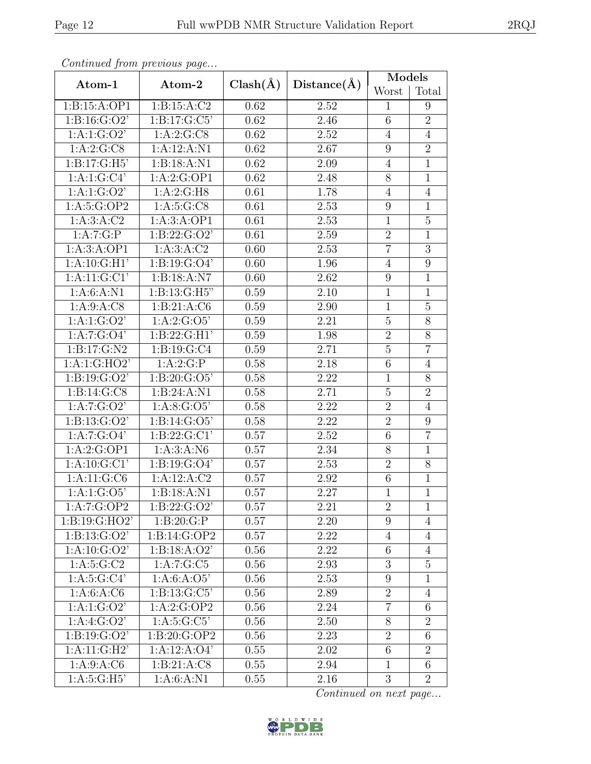| Continued from previous page |                        |          |             | Models         |                |
|------------------------------|------------------------|----------|-------------|----------------|----------------|
| Atom-1                       | $Clash(\AA)$<br>Atom-2 |          | Distance(A) | Worst          | Total          |
| 1:B:15:A:OP1                 | 1: B: 15: A: C2        | 0.62     | 2.52        | 1              | 9              |
| 1: B: 16: G: O2'             | 1: B: 17: G: C5'       | 0.62     | 2.46        | 6              | $\overline{2}$ |
| 1: A: 1: G: O2'              | 1:A:2:G:CS             | 0.62     | 2.52        | $\overline{4}$ | $\overline{4}$ |
| 1:A:2:G:CS                   | 1:A:12:A:N1            | 0.62     | 2.67        | 9              | $\overline{2}$ |
| 1:B:17:G:H5'                 | 1:B:18:A:N1            | 0.62     | 2.09        | $\overline{4}$ | $\mathbf{1}$   |
| 1:A:1:G:Cl <sup>7</sup>      | 1:A:2:G:OP1            | 0.62     | 2.48        | 8              | $\mathbf{1}$   |
| 1:A:1:G:O2'                  | 1: A:2: G:H8           | 0.61     | 1.78        | $\overline{4}$ | $\overline{4}$ |
| 1: A:5: G:OP2                | 1: A:5: G:CS           | 0.61     | 2.53        | 9              | 1              |
| 1: A:3: A: C2                | 1:A:3:A:OP1            | 0.61     | 2.53        | $\mathbf{1}$   | $\overline{5}$ |
| 1:A:7:G:P                    | 1: B: 22: G: O2'       | 0.61     | 2.59        | $\overline{2}$ | $\mathbf{1}$   |
| 1:A:3:A:OP1                  | 1:A:3:A:C2             | 0.60     | 2.53        | $\overline{7}$ | $\overline{3}$ |
| 1: A:10: G:H1'               | 1: B: 19: G: O4'       | 0.60     | 1.96        | $\overline{4}$ | 9              |
| $1:A:11:G:\overline{C1'}$    | 1:B:18:A:N7            | 0.60     | 2.62        | $\overline{9}$ | $\mathbf{1}$   |
| 1: A:6: A: N1                | 1:B:13:G:H5"           | 0.59     | 2.10        | $\mathbf 1$    | $\mathbf 1$    |
| 1: A:9: A: C8                | 1: B: 21: A: C6        | 0.59     | 2.90        | $\mathbf{1}$   | $\overline{5}$ |
| 1:A:1:G:O2'                  | 1:A:2:G:O5'            | 0.59     | 2.21        | $\bf 5$        | $8\,$          |
| 1:A:7:G:O4'                  | 1: B: 22: G: H1'       | 0.59     | 1.98        | $\overline{2}$ | 8              |
| 1:B:17:G:N2                  | 1:B:19:G:C4            | 0.59     | 2.71        | $\overline{5}$ | $\overline{7}$ |
| 1:A:1:GHO2'                  | 1:A:2:G:P              | 0.58     | 2.18        | 6              | $\overline{4}$ |
| 1: B: 19: G: O2'             | 1:8:20:G:O5'           | 0.58     | 2.22        | $\mathbf{1}$   | 8              |
| 1: B: 14: G: C8              | 1:B:24:A:N1            | 0.58     | 2.71        | $\overline{5}$ | $\overline{2}$ |
| 1:A:7:G:O2'                  | 1:A:8:G:O5'            | 0.58     | 2.22        | $\overline{2}$ | $\overline{4}$ |
| 1: B: 13: G: O2'             | 1: B: 14: G: O5'       | 0.58     | 2.22        | $\overline{2}$ | 9              |
| 1: A: 7: G: O4'              | 1: B: 22: G: C1'       | 0.57     | 2.52        | $\,6$          | $\overline{7}$ |
| 1:A:2:G:OP1                  | 1: A:3:A: N6           | 0.57     | 2.34        | $8\,$          | $\mathbf{1}$   |
| 1: A: 10: G: C1'             | 1: B: 19: G: O4'       | 0.57     | 2.53        | $\sqrt{2}$     | 8              |
| 1: A: 11: G: C6              | 1:A:12:A:C2            | 0.57     | 2.92        | $6\,$          | 1              |
| 1:A:1:G:O5'                  | 1:B:18:A:N1            | 0.57     | 2.27        | $\mathbf{1}$   | $\mathbf{1}$   |
| 1:A:7:G:OP2                  | 1: B: 22: G: O2'       | 0.57     | 2.21        | $\overline{2}$ | $\mathbf{1}$   |
| 1: B: 19: G: HO2'            | 1:B:20:G:P             | $0.57\,$ | 2.20        | 9              | $\overline{4}$ |
| 1: B: 13: G: O2'             | 1:B:14:G:OP2           | 0.57     | 2.22        | $\overline{4}$ | $\overline{4}$ |
| 1: A: 10: G: O2'             | 1:B:18:A:O2'           | 0.56     | 2.22        | $\,6$          | $\overline{4}$ |
| 1: A:5: G:C2                 | 1:A:7:G:C5             | 0.56     | 2.93        | 3              | $\overline{5}$ |
| $1: A:5: G:Cl^2$             | 1: A:6: A:O5'          | 0.56     | 2.53        | $9\phantom{.}$ | $\mathbf{1}$   |
| 1: A:6: A: C6                | 1: B: 13: G: C5'       | 0.56     | 2.89        | $\overline{2}$ | $\overline{4}$ |
| 1:A:1:G:O2'                  | 1:A:2:G:OP2            | 0.56     | 2.24        | $\overline{7}$ | $6\,$          |
| 1:A:4:G:O2'                  | 1: A:5: G: C5'         | 0.56     | 2.50        | $8\,$          | $\overline{2}$ |
| 1: B: 19: G: O2'             | 1:B:20:G:OP2           | 0.56     | 2.23        | $\overline{2}$ | 6              |
| 1:A:11:G:H2'                 | 1:A:12:A:O4'           | 0.55     | 2.02        | $\sqrt{6}$     | $\overline{2}$ |
| 1:A:9:A:C6                   | 1: B: 21: A: C8        | 0.55     | 2.94        | $\overline{1}$ | 6              |
| 1: A:5: G:H5'                | 1: A:6: A: N1          | 0.55     | 2.16        | 3              | $\overline{2}$ |

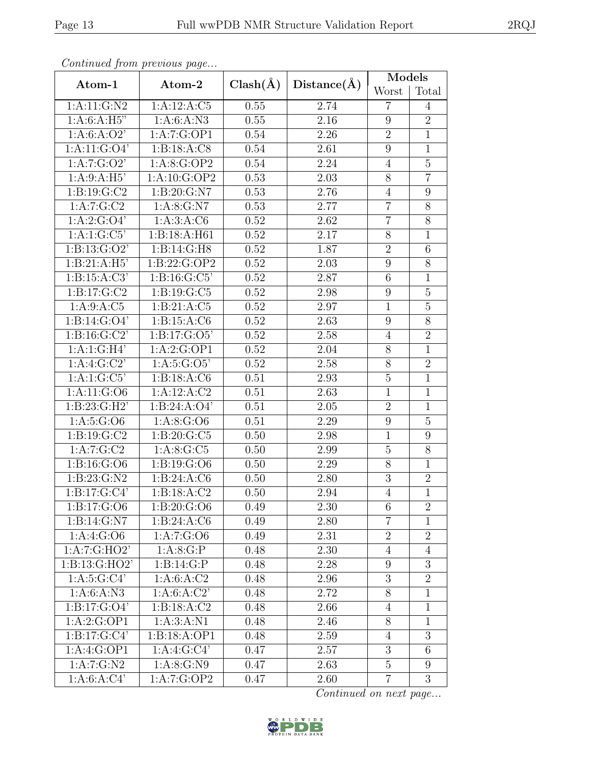|                         | Continued from previous page | $Clash(\AA)$ |             | Models         |                  |
|-------------------------|------------------------------|--------------|-------------|----------------|------------------|
| Atom-1                  | Atom-2                       |              | Distance(A) | Worst          | Total            |
| 1: A: 11: G: N2         | 1:A:12:A:C5                  | 0.55         | 2.74        | $\overline{7}$ | 4                |
| 1:A:6:A:H5"             | 1: A:6: A: N3                |              | 2.16        | 9              | $\overline{2}$   |
| 1: A:6: A:O2'           | 1:A:7:G:OP1                  | 0.54         | 2.26        | $\overline{2}$ | 1                |
| 1:A:11:G:O4'            | 1: B: 18: A: C8              | 0.54         | 2.61        | 9              | $\mathbf{1}$     |
| 1:A:7:G:O2'             | 1:A:8:G:OP2                  | 0.54         | 2.24        | $\overline{4}$ | $\overline{5}$   |
| 1:A:9:A:H5'             | 1:A:10:G:OP2                 | 0.53         | 2.03        | 8              | $\overline{7}$   |
| 1: B: 19: G: C2         | 1:B:20:G:N7                  | 0.53         | 2.76        | $\overline{4}$ | 9                |
| 1: A:7:G:C2             | 1: A:8: G: N7                | 0.53         | 2.77        | $\overline{7}$ | 8                |
| 1: A:2: G:O4'           | 1:A:3:A:C6                   | 0.52         | 2.62        | $\overline{7}$ | $\overline{8}$   |
| 1:A:1:G:C5'             | 1:B:18:A:H61                 | 0.52         | 2.17        | 8              | $\mathbf{1}$     |
| 1: B: 13: G: O2'        | 1:B:14:G:H8                  | 0.52         | 1.87        | $\overline{2}$ | $\overline{6}$   |
| 1: B:21:A:H5'           | 1:B:22:G:OP2                 | 0.52         | 2.03        | 9              | 8                |
| 1: B: 15: A: C3'        | 1: B: 16: G: C5'             | 0.52         | 2.87        | 6              | 1                |
| 1: B: 17: G: C2         | 1: B: 19: G: C5              | 0.52         | 2.98        | 9              | $\overline{5}$   |
| 1:A:9:A:C5              | 1: B: 21: A: C5              | 0.52         | 2.97        | $\mathbf{1}$   | $\overline{5}$   |
| 1: B: 14: G: O4'        | 1: B: 15: A: C6              | 0.52         | 2.63        | 9              | $\overline{8}$   |
| 1: B: 16: G: C2'        | 1: B: 17: G: O5'             | 0.52         | 2.58        | $\overline{4}$ | $\overline{2}$   |
| 1:A:1:G:H4'             | 1:A:2:G:OP1                  | 0.52         | 2.04        | 8              | $\mathbf{1}$     |
| 1:A:4:G:C2'             | 1: A:5: G:O5'                | 0.52         | 2.58        | $8\,$          | $\overline{2}$   |
| 1:A:1:G:C5'             | 1:B:18:A:C6                  | 0.51         | 2.93        | $\overline{5}$ | $\mathbf{1}$     |
| 1:A:11:G:O6             | 1:A:12:A:C2                  | 0.51         | 2.63        | $\overline{1}$ | $\overline{1}$   |
| 1: B: 23: G: H2'        | 1: B: 24: A: O4'             | 0.51         | 2.05        | $\overline{2}$ | 1                |
| 1: A:5: G:O6            | 1:A:8:G:O6                   | 0.51         | 2.29        | 9              | $\overline{5}$   |
| 1: B: 19: G: C2         | 1: B:20: G: C5               | 0.50         | 2.98        | $\mathbf{1}$   | $9\phantom{.0}$  |
| 1: A: 7: G: C2          | 1: A:8: G: C5                | 0.50         | 2.99        | $\overline{5}$ | 8                |
| 1:B:16:G:O6             | 1:B:19:G:O6                  | 0.50         | 2.29        | $\overline{8}$ | $\mathbf 1$      |
| 1:B:23:G:N2             | 1: B: 24: A: C6              | 0.50         | 2.80        | 3              | $\overline{2}$   |
| 1:B:17:G:C4'            | 1: B: 18: A: C2              | 0.50         | 2.94        | $\overline{4}$ | $\overline{1}$   |
| 1: B: 17: G: O6         | 1:B:20:G:O6                  | 0.49         | 2.30        | 6              | $\overline{2}$   |
| 1: B: 14: G: N7         | 1: B: 24: A: C6              | 0.49         | 2.80        | $\overline{7}$ | $\mathbf{1}$     |
| 1:A:4:G:O6              | 1:A:7:G:O6                   | 0.49         | 2.31        | $\overline{2}$ | $\overline{2}$   |
| 1:A:7:G:HO2'            | 1:A:8:G:P                    | 0.48         | 2.30        | $\overline{4}$ | $\overline{4}$   |
| 1:B:13:G:HO2'           | 1: B: 14: G:P                | 0.48         | 2.28        | 9              | 3                |
| 1: A:5: G: C4'          | 1: A:6: A:C2                 | 0.48         | 2.96        | 3              | $\overline{2}$   |
| 1: A:6: A: N3           | 1: A:6: A:C2'                | 0.48         | 2.72        | $8\,$          | $\mathbf{1}$     |
| 1: B: 17: G: O4'        | 1: B: 18: A: C2              | 0.48         | 2.66        | $\overline{4}$ | $\mathbf{1}$     |
| 1:A:2:G:OP1             | 1: A:3: A: N1                | 0.48         | 2.46        | 8              | $\mathbf 1$      |
| 1: B: 17: G: C4'        | 1:B:18:A:OP1                 | 0.48         | 2.59        | $\overline{4}$ | $\overline{3}$   |
| 1:A:4:G:OP1             | 1:A:4:G:C4'                  | 0.47         | 2.57        | 3              | $6\,$            |
| $1:A:\overline{7:G:N2}$ | 1: A:8: G: N9                | 0.47         | 2.63        | $\overline{5}$ | $\boldsymbol{9}$ |
| 1:A:6:A:C4'             | 1:A:7:G:OP2                  | 0.47         | 2.60        | $\overline{7}$ | 3                |

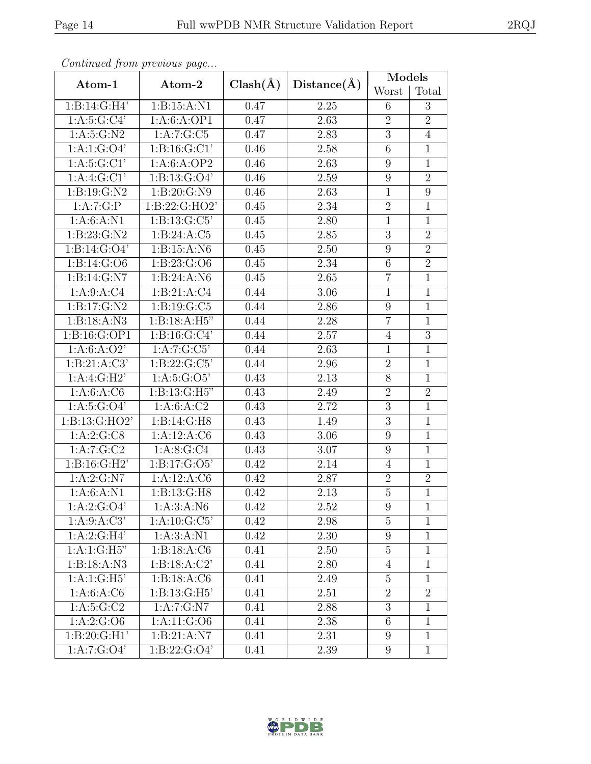| Continuati jibin protibus puga |                          | $Clash(\AA)$      |                   | Models         |                |
|--------------------------------|--------------------------|-------------------|-------------------|----------------|----------------|
| Atom-1                         | Atom-2                   |                   | Distance(A)       | Worst          | Total          |
| 1:B:14:G:H4'                   | 1: B: 15: A: N1          | 0.47              | 2.25              | 6              | 3              |
| 1: A:5: G: C4'                 | 1:A:6:A:OP1              | $\overline{0.47}$ | 2.63              | $\overline{2}$ | $\overline{2}$ |
| 1: A:5: G: N2                  | 1:A:7:G:C5               | 0.47              | 2.83              | $\sqrt{3}$     | $\overline{4}$ |
| 1:A:1:G:O4'                    | 1: B: 16: G: C1'         | 0.46              | 2.58              | 6              | $\mathbf 1$    |
| 1: A:5: G:CI'                  | 1:A:6:A:OP2              | 0.46              | 2.63              | 9              | $\mathbf 1$    |
| 1:A:4:G:Cl'                    | 1: B: 13: G: O4'         | 0.46              | 2.59              | 9              | $\overline{2}$ |
| 1:B:19:G:N2                    | 1:B:20:G:N9              | 0.46              | 2.63              | $\mathbf{1}$   | 9              |
| 1:A:7:G:P                      | 1: B: 22: G: HO2'        | 0.45              | 2.34              | $\overline{2}$ | $\mathbf{1}$   |
| 1: A:6: A: N1                  | 1: B: 13: G: C5'         | 0.45              | 2.80              | $\overline{1}$ | $\overline{1}$ |
| 1:B:23:G:N2                    | 1: B:24:A:C5             | 0.45              | 2.85              | 3              | $\overline{2}$ |
| 1: B: 14: G: O4'               | 1:B:15:A:N6              | 0.45              | 2.50              | 9              | $\overline{2}$ |
| 1: B: 14: G: O6                | 1:B:23:G:O6              | 0.45              | 2.34              | 6              | $\overline{2}$ |
| 1: B: 14: G: N7                | 1:B:24:A:N6              | 0.45              | 2.65              | $\overline{7}$ | $\mathbf{1}$   |
| 1: A:9: A: C4                  | 1:B:21:A:C4              | 0.44              | 3.06              | $\mathbf{1}$   | $\mathbf 1$    |
| 1:B:17:G:N2                    | 1: B: 19: G: C5          | 0.44              | 2.86              | $\overline{9}$ | $\mathbf{1}$   |
| 1: B: 18: A: N3                | 1:B:18:A:H5"             | 0.44              | 2.28              | $\overline{7}$ | $\mathbf 1$    |
| 1:B:16:G:OP1                   | 1: B: 16: G: C4'         | 0.44              | 2.57              | $\overline{4}$ | $\overline{3}$ |
| 1: A:6: A:O2'                  | 1:A:7:G:C5'              | 0.44              | 2.63              | $\mathbf{1}$   | $\overline{1}$ |
| 1: B:21:A:C3'                  | 1: B: 22: G: C5'         | 0.44              | 2.96              | $\overline{2}$ | $\mathbf{1}$   |
| 1:A:4:G:H2'                    | 1: A:5: G:O5'            | 0.43              | 2.13              | $8\,$          | $\mathbf{1}$   |
| 1: A:6: A: C6                  | 1: B: 13: G: H5"         | 0.43              | 2.49              | $\overline{2}$ | $\overline{2}$ |
| 1: A:5: G:O4'                  | 1: A:6: A:C2             | 0.43              | 2.72              | 3              | $\mathbf{1}$   |
| 1:B:13:G:HO2'                  | 1:B:14:G:H8              | 0.43              | 1.49              | $\overline{3}$ | $\mathbf 1$    |
| 1:A:2:G:CS                     | 1:A:12:A:C6              | 0.43              | 3.06              | $\overline{9}$ | $\mathbf{1}$   |
| 1:A:7:G:C2                     | 1: A:8: G: C4            | 0.43              | 3.07              | 9              | $\mathbf 1$    |
| 1: B: 16: G: H2'               | 1: B: 17: G: O5'         | 0.42              | 2.14              | $\overline{4}$ | $\mathbf{1}$   |
| 1: A:2: G: N7                  | 1:A:12:A:C6              | 0.42              | 2.87              | $\overline{2}$ | $\overline{2}$ |
| 1:A:6:A:N1                     | 1: B: 13: G: H8          | 0.42              | $\overline{2.13}$ | $\overline{5}$ | $\overline{1}$ |
| 1: A:2: G:O4'                  | 1:A:3:A:N6               | 0.42              | 2.52              | 9              | 1              |
| 1: A:9: A: C3'                 | 1: A:10: G: C5'          | 0.42              | 2.98              | $\overline{5}$ | $\mathbf 1$    |
| 1:A:2:G:H4'                    | 1: A:3: A:N1             | 0.42              | 2.30              | 9              | $\mathbf{1}$   |
| 1:A:1:G:H5"                    | 1: B: 18: A: C6          | 0.41              | 2.50              | $\overline{5}$ | $\mathbf{1}$   |
| 1:B:18:A:N3                    | 1: B: 18: A: C2'         | 0.41              | 2.80              | $\overline{4}$ | 1              |
| 1:A:1:G:H5                     | 1: B: 18: A: C6          | 0.41              | 2.49              | $\mathbf 5$    | 1              |
| 1: A:6: A: C6                  | 1: B: 13: G: H5'         | 0.41              | 2.51              | $\overline{2}$ | $\overline{2}$ |
| 1: A:5: G:C2                   | 1:A:7:G:N7               | 0.41              | 2.88              | 3              | $\mathbf{1}$   |
| 1:A:2:G:O6                     | 1:A:11:G:O6              | 0.41              | 2.38              | 6              | $\mathbf{1}$   |
| 1: B:20: G:H1'                 | $1:B:21:A:\overline{N7}$ | 0.41              | 2.31              | 9              | $\mathbf{1}$   |
| 1:A:7:G:O4'                    | 1: B: 22: G: O4'         | 0.41              | 2.39              | $9\phantom{.}$ | $\mathbf{1}$   |

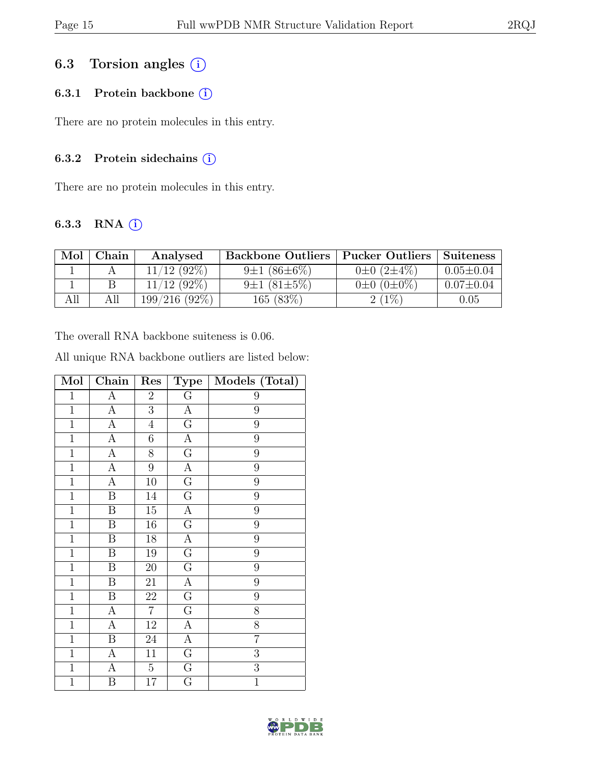### 6.3 Torsion angles (i)

### 6.3.1 Protein backbone ①

There are no protein molecules in this entry.

#### 6.3.2 Protein sidechains  $(i)$

There are no protein molecules in this entry.

### 6.3.3 RNA  $(i)$

| Mol | Chain. | Analysed         | <b>Backbone Outliers   Pucker Outliers</b> |                       | Suiteness       |
|-----|--------|------------------|--------------------------------------------|-----------------------|-----------------|
|     |        | $12(92\%)$       | $9\pm1(86\pm6\%)$                          | $0\pm 0$ $(2\pm 4\%)$ | $0.05 \pm 0.04$ |
|     |        | $(92\%)$<br>12   | $9\pm1(81\pm5\%)$                          | $0\pm 0$ $(0\pm 0\%)$ | $0.07 \pm 0.04$ |
| All |        | $199/216$ (92\%) | 165(83%)                                   | $(1\%)$               | $0.05\,$        |

The overall RNA backbone suiteness is 0.06.

All unique RNA backbone outliers are listed below:

| Mol            | Chain                 | Res            | <b>Type</b>             | Models (Total) |
|----------------|-----------------------|----------------|-------------------------|----------------|
| $\mathbf 1$    | $\boldsymbol{A}$      | $\overline{2}$ | G                       | 9              |
| $\overline{1}$ | $\overline{\rm A}$    | $\overline{3}$ | $\overline{A}$          | $\overline{9}$ |
| $\mathbf{1}$   | $\boldsymbol{\rm{A}}$ | $\overline{4}$ | $\overline{G}$          | 9              |
| $\,1$          | $\boldsymbol{A}$      | $\!6\,$        | $\overline{A}$          | 9              |
| $\overline{1}$ | $\overline{A}$        | 8              | $\overline{G}$          | 9              |
| $\mathbf{1}$   | $\overline{A}$        | 9              | $\boldsymbol{A}$        | $\overline{9}$ |
| $\mathbf 1$    | А                     | 10             | $\overline{G}$          | 9              |
| $\mathbf{1}$   | B                     | 14             | G                       | 9              |
| $\overline{1}$ | B                     | $15\,$         | $\overline{\rm A}$      | 9              |
| $\mathbf 1$    | $\, {\bf B}$          | 16             | $\overline{G}$          | 9              |
| $\mathbf{1}$   | B                     | 18             | $\boldsymbol{\rm{A}}$   | 9              |
| $\overline{1}$ | B                     | $19\,$         | $\overline{G}$          | 9              |
| $\mathbf 1$    | $\, {\bf B}$          | 20             | $\mathbf G$             | 9              |
| $\overline{1}$ | B                     | 21             | A                       | 9              |
| $\mathbf{1}$   | B                     | 22             | $\overline{\mathrm{G}}$ | 9              |
| $\mathbf 1$    | А                     | $\overline{7}$ | $\overline{\mathrm{G}}$ | 8              |
| $\mathbf{1}$   | $\boldsymbol{A}$      | 12             | A                       | $\overline{8}$ |
| $\mathbf{1}$   | B                     | 24             | $\overline{A}$          | $\overline{7}$ |
| $\mathbf 1$    | А                     | 11             | $\overline{\mathrm{G}}$ | $\overline{3}$ |
| $\overline{1}$ | А                     | $\overline{5}$ | $\mathbf G$             | $\overline{3}$ |
| $\mathbf{1}$   | Β                     | 17             | $\overline{\mathrm{G}}$ | $\overline{1}$ |

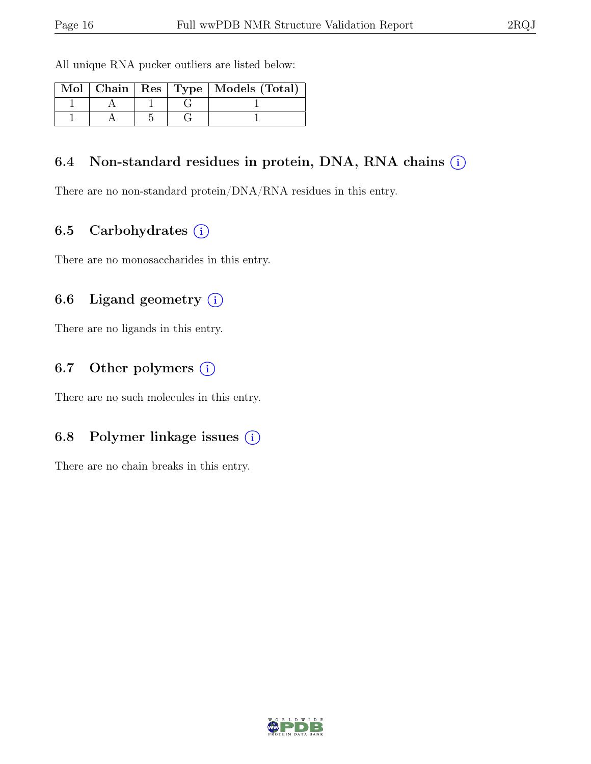All unique RNA pucker outliers are listed below:

|  |  | Mol   Chain   Res   Type   Models (Total) |
|--|--|-------------------------------------------|
|  |  |                                           |
|  |  |                                           |

### 6.4 Non-standard residues in protein, DNA, RNA chains  $(i)$

There are no non-standard protein/DNA/RNA residues in this entry.

### 6.5 Carbohydrates  $(i)$

There are no monosaccharides in this entry.

### 6.6 Ligand geometry  $(i)$

There are no ligands in this entry.

### 6.7 Other polymers  $(i)$

There are no such molecules in this entry.

### 6.8 Polymer linkage issues  $(i)$

There are no chain breaks in this entry.